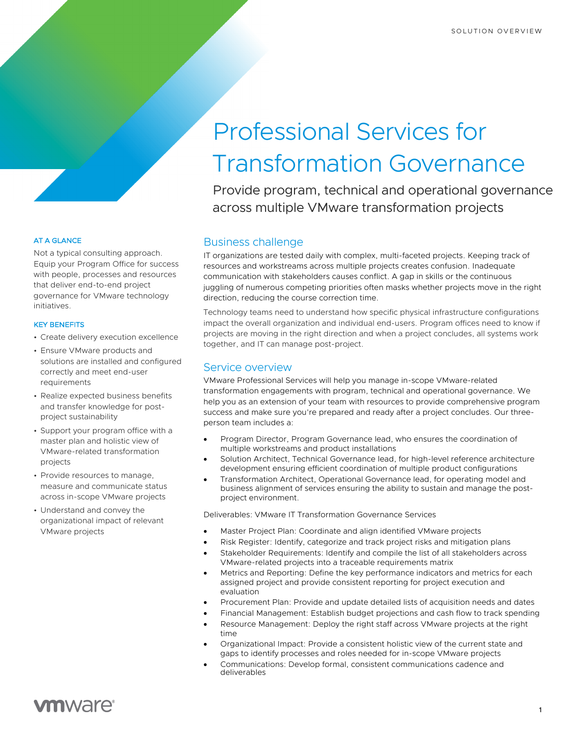# Professional Services for Transformation Governance

Provide program, technical and operational governance across multiple VMware transformation projects

## Business challenge

IT organizations are tested daily with complex, multi-faceted projects. Keeping track of resources and workstreams across multiple projects creates confusion. Inadequate communication with stakeholders causes conflict. A gap in skills or the continuous juggling of numerous competing priorities often masks whether projects move in the right direction, reducing the course correction time.

Technology teams need to understand how specific physical infrastructure configurations impact the overall organization and individual end-users. Program offices need to know if projects are moving in the right direction and when a project concludes, all systems work together, and IT can manage post-project.

# Service overview

VMware Professional Services will help you manage in-scope VMware-related transformation engagements with program, technical and operational governance. We help you as an extension of your team with resources to provide comprehensive program success and make sure you're prepared and ready after a project concludes. Our threeperson team includes a:

- Program Director, Program Governance lead, who ensures the coordination of multiple workstreams and product installations
- Solution Architect, Technical Governance lead, for high-level reference architecture development ensuring efficient coordination of multiple product configurations
- Transformation Architect, Operational Governance lead, for operating model and business alignment of services ensuring the ability to sustain and manage the postproject environment.

Deliverables: VMware IT Transformation Governance Services

- Master Project Plan: Coordinate and align identified VMware projects
- Risk Register: Identify, categorize and track project risks and mitigation plans
- Stakeholder Requirements: Identify and compile the list of all stakeholders across VMware-related projects into a traceable requirements matrix
- Metrics and Reporting: Define the key performance indicators and metrics for each assigned project and provide consistent reporting for project execution and evaluation
- Procurement Plan: Provide and update detailed lists of acquisition needs and dates
- Financial Management: Establish budget projections and cash flow to track spending
- Resource Management: Deploy the right staff across VMware projects at the right time
- Organizational Impact: Provide a consistent holistic view of the current state and gaps to identify processes and roles needed for in-scope VMware projects
- Communications: Develop formal, consistent communications cadence and deliverables

### AT A GLANCE

Not a typical consulting approach. Equip your Program Office for success with people, processes and resources that deliver end-to-end project governance for VMware technology initiatives.

#### KEY BENEFITS

- Create delivery execution excellence
- Ensure VMware products and solutions are installed and configured correctly and meet end-user requirements
- Realize expected business benefits and transfer knowledge for postproject sustainability
- Support your program office with a master plan and holistic view of VMware-related transformation projects
- Provide resources to manage, measure and communicate status across in-scope VMware projects
- Understand and convey the organizational impact of relevant VMware projects